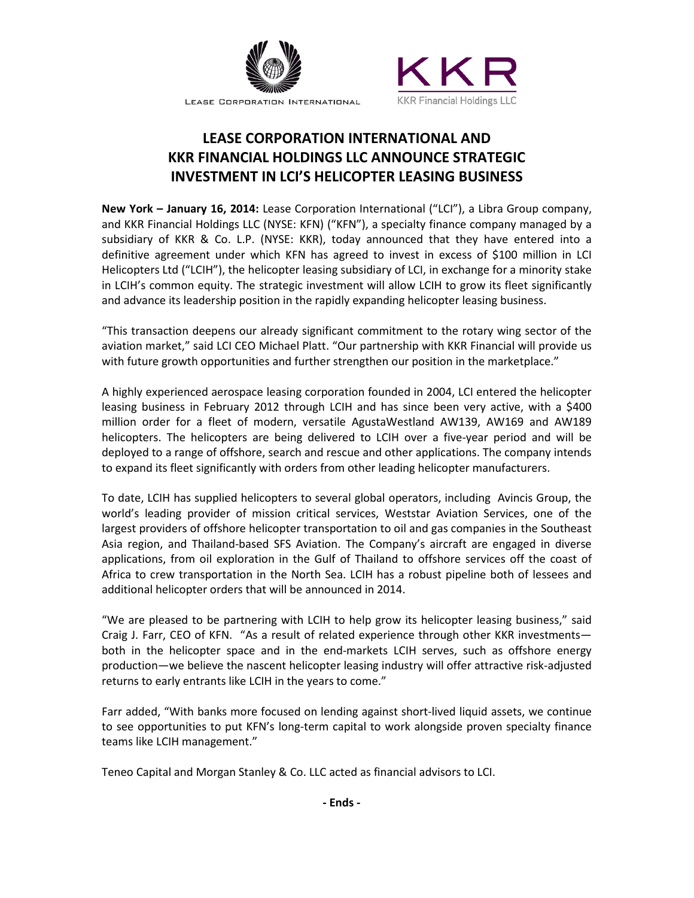

LEASE CORPORATION INTERNATIONAL



# **LEASE CORPORATION INTERNATIONAL AND KKR FINANCIAL HOLDINGS LLC ANNOUNCE STRATEGIC INVESTMENT IN LCI'S HELICOPTER LEASING BUSINESS**

**New York – January 16, 2014:** Lease Corporation International ("LCI"), a Libra Group company, and KKR Financial Holdings LLC (NYSE: KFN) ("KFN"), a specialty finance company managed by a subsidiary of KKR & Co. L.P. (NYSE: KKR), today announced that they have entered into a definitive agreement under which KFN has agreed to invest in excess of \$100 million in LCI Helicopters Ltd ("LCIH"), the helicopter leasing subsidiary of LCI, in exchange for a minority stake in LCIH's common equity. The strategic investment will allow LCIH to grow its fleet significantly and advance its leadership position in the rapidly expanding helicopter leasing business.

"This transaction deepens our already significant commitment to the rotary wing sector of the aviation market," said LCI CEO Michael Platt. "Our partnership with KKR Financial will provide us with future growth opportunities and further strengthen our position in the marketplace."

A highly experienced aerospace leasing corporation founded in 2004, LCI entered the helicopter leasing business in February 2012 through LCIH and has since been very active, with a \$400 million order for a fleet of modern, versatile AgustaWestland AW139, AW169 and AW189 helicopters. The helicopters are being delivered to LCIH over a five-year period and will be deployed to a range of offshore, search and rescue and other applications. The company intends to expand its fleet significantly with orders from other leading helicopter manufacturers.

To date, LCIH has supplied helicopters to several global operators, including Avincis Group, the world's leading provider of mission critical services, Weststar Aviation Services, one of the largest providers of offshore helicopter transportation to oil and gas companies in the Southeast Asia region, and Thailand-based SFS Aviation. The Company's aircraft are engaged in diverse applications, from oil exploration in the Gulf of Thailand to offshore services off the coast of Africa to crew transportation in the North Sea. LCIH has a robust pipeline both of lessees and additional helicopter orders that will be announced in 2014.

"We are pleased to be partnering with LCIH to help grow its helicopter leasing business," said Craig J. Farr, CEO of KFN. "As a result of related experience through other KKR investments both in the helicopter space and in the end-markets LCIH serves, such as offshore energy production—we believe the nascent helicopter leasing industry will offer attractive risk-adjusted returns to early entrants like LCIH in the years to come."

Farr added, "With banks more focused on lending against short-lived liquid assets, we continue to see opportunities to put KFN's long-term capital to work alongside proven specialty finance teams like LCIH management."

Teneo Capital and Morgan Stanley & Co. LLC acted as financial advisors to LCI.